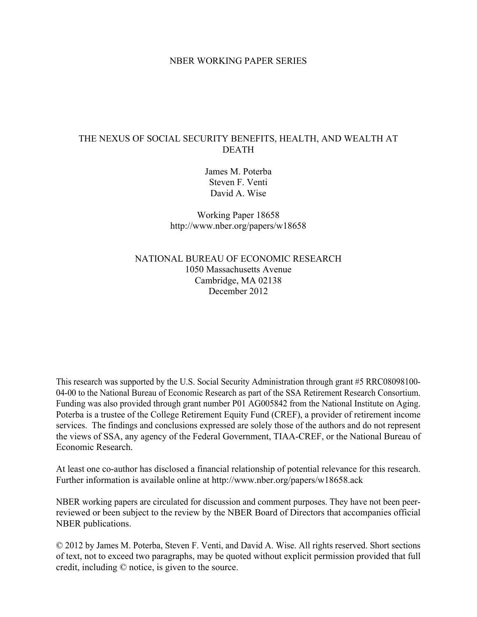### NBER WORKING PAPER SERIES

## THE NEXUS OF SOCIAL SECURITY BENEFITS, HEALTH, AND WEALTH AT DEATH

James M. Poterba Steven F. Venti David A. Wise

Working Paper 18658 http://www.nber.org/papers/w18658

NATIONAL BUREAU OF ECONOMIC RESEARCH 1050 Massachusetts Avenue Cambridge, MA 02138 December 2012

This research was supported by the U.S. Social Security Administration through grant #5 RRC08098100- 04-00 to the National Bureau of Economic Research as part of the SSA Retirement Research Consortium. Funding was also provided through grant number P01 AG005842 from the National Institute on Aging. Poterba is a trustee of the College Retirement Equity Fund (CREF), a provider of retirement income services. The findings and conclusions expressed are solely those of the authors and do not represent the views of SSA, any agency of the Federal Government, TIAA-CREF, or the National Bureau of Economic Research.

At least one co-author has disclosed a financial relationship of potential relevance for this research. Further information is available online at http://www.nber.org/papers/w18658.ack

NBER working papers are circulated for discussion and comment purposes. They have not been peerreviewed or been subject to the review by the NBER Board of Directors that accompanies official NBER publications.

© 2012 by James M. Poterba, Steven F. Venti, and David A. Wise. All rights reserved. Short sections of text, not to exceed two paragraphs, may be quoted without explicit permission provided that full credit, including © notice, is given to the source.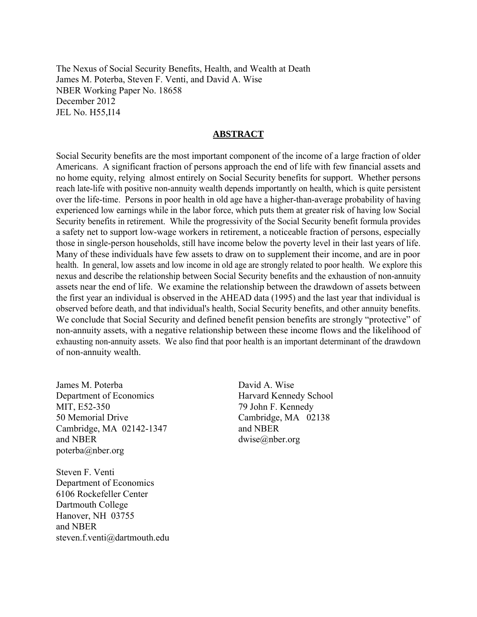The Nexus of Social Security Benefits, Health, and Wealth at Death James M. Poterba, Steven F. Venti, and David A. Wise NBER Working Paper No. 18658 December 2012 JEL No. H55,I14

### **ABSTRACT**

Social Security benefits are the most important component of the income of a large fraction of older Americans. A significant fraction of persons approach the end of life with few financial assets and no home equity, relying almost entirely on Social Security benefits for support. Whether persons reach late-life with positive non-annuity wealth depends importantly on health, which is quite persistent over the life-time. Persons in poor health in old age have a higher-than-average probability of having experienced low earnings while in the labor force, which puts them at greater risk of having low Social Security benefits in retirement. While the progressivity of the Social Security benefit formula provides a safety net to support low-wage workers in retirement, a noticeable fraction of persons, especially those in single-person households, still have income below the poverty level in their last years of life. Many of these individuals have few assets to draw on to supplement their income, and are in poor health. In general, low assets and low income in old age are strongly related to poor health. We explore this nexus and describe the relationship between Social Security benefits and the exhaustion of non-annuity assets near the end of life. We examine the relationship between the drawdown of assets between the first year an individual is observed in the AHEAD data (1995) and the last year that individual is observed before death, and that individual's health, Social Security benefits, and other annuity benefits. We conclude that Social Security and defined benefit pension benefits are strongly "protective" of non-annuity assets, with a negative relationship between these income flows and the likelihood of exhausting non-annuity assets. We also find that poor health is an important determinant of the drawdown of non-annuity wealth.

James M. Poterba Department of Economics MIT, E52-350 50 Memorial Drive Cambridge, MA 02142-1347 and NBER poterba@nber.org

Steven F. Venti Department of Economics 6106 Rockefeller Center Dartmouth College Hanover, NH 03755 and NBER steven.f.venti@dartmouth.edu

David A. Wise Harvard Kennedy School 79 John F. Kennedy Cambridge, MA 02138 and NBER dwise@nber.org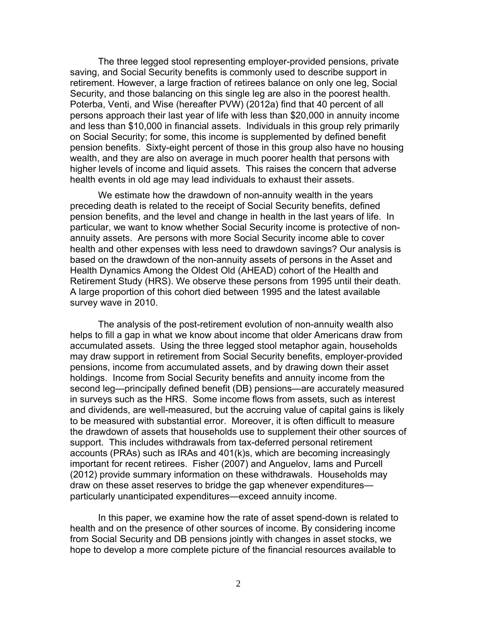The three legged stool representing employer-provided pensions, private saving, and Social Security benefits is commonly used to describe support in retirement. However, a large fraction of retirees balance on only one leg, Social Security, and those balancing on this single leg are also in the poorest health. Poterba, Venti, and Wise (hereafter PVW) (2012a) find that 40 percent of all persons approach their last year of life with less than \$20,000 in annuity income and less than \$10,000 in financial assets. Individuals in this group rely primarily on Social Security; for some, this income is supplemented by defined benefit pension benefits. Sixty-eight percent of those in this group also have no housing wealth, and they are also on average in much poorer health that persons with higher levels of income and liquid assets. This raises the concern that adverse health events in old age may lead individuals to exhaust their assets.

 We estimate how the drawdown of non-annuity wealth in the years preceding death is related to the receipt of Social Security benefits, defined pension benefits, and the level and change in health in the last years of life. In particular, we want to know whether Social Security income is protective of nonannuity assets. Are persons with more Social Security income able to cover health and other expenses with less need to drawdown savings? Our analysis is based on the drawdown of the non-annuity assets of persons in the Asset and Health Dynamics Among the Oldest Old (AHEAD) cohort of the Health and Retirement Study (HRS). We observe these persons from 1995 until their death. A large proportion of this cohort died between 1995 and the latest available survey wave in 2010.

The analysis of the post-retirement evolution of non-annuity wealth also helps to fill a gap in what we know about income that older Americans draw from accumulated assets. Using the three legged stool metaphor again, households may draw support in retirement from Social Security benefits, employer-provided pensions, income from accumulated assets, and by drawing down their asset holdings. Income from Social Security benefits and annuity income from the second leg—principally defined benefit (DB) pensions—are accurately measured in surveys such as the HRS. Some income flows from assets, such as interest and dividends, are well-measured, but the accruing value of capital gains is likely to be measured with substantial error. Moreover, it is often difficult to measure the drawdown of assets that households use to supplement their other sources of support. This includes withdrawals from tax-deferred personal retirement accounts (PRAs) such as IRAs and 401(k)s, which are becoming increasingly important for recent retirees. Fisher (2007) and Anguelov, Iams and Purcell (2012) provide summary information on these withdrawals. Households may draw on these asset reserves to bridge the gap whenever expenditures particularly unanticipated expenditures—exceed annuity income.

 In this paper, we examine how the rate of asset spend-down is related to health and on the presence of other sources of income. By considering income from Social Security and DB pensions jointly with changes in asset stocks, we hope to develop a more complete picture of the financial resources available to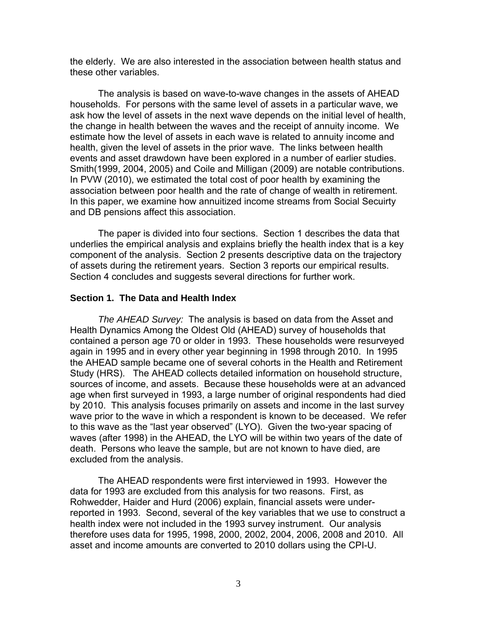the elderly. We are also interested in the association between health status and these other variables.

 The analysis is based on wave-to-wave changes in the assets of AHEAD households. For persons with the same level of assets in a particular wave, we ask how the level of assets in the next wave depends on the initial level of health, the change in health between the waves and the receipt of annuity income. We estimate how the level of assets in each wave is related to annuity income and health, given the level of assets in the prior wave. The links between health events and asset drawdown have been explored in a number of earlier studies. Smith(1999, 2004, 2005) and Coile and Milligan (2009) are notable contributions. In PVW (2010), we estimated the total cost of poor health by examining the association between poor health and the rate of change of wealth in retirement. In this paper, we examine how annuitized income streams from Social Secuirty and DB pensions affect this association.

 The paper is divided into four sections. Section 1 describes the data that underlies the empirical analysis and explains briefly the health index that is a key component of the analysis. Section 2 presents descriptive data on the trajectory of assets during the retirement years. Section 3 reports our empirical results. Section 4 concludes and suggests several directions for further work.

## **Section 1. The Data and Health Index**

 *The AHEAD Survey:* The analysis is based on data from the Asset and Health Dynamics Among the Oldest Old (AHEAD) survey of households that contained a person age 70 or older in 1993. These households were resurveyed again in 1995 and in every other year beginning in 1998 through 2010. In 1995 the AHEAD sample became one of several cohorts in the Health and Retirement Study (HRS). The AHEAD collects detailed information on household structure, sources of income, and assets. Because these households were at an advanced age when first surveyed in 1993, a large number of original respondents had died by 2010. This analysis focuses primarily on assets and income in the last survey wave prior to the wave in which a respondent is known to be deceased. We refer to this wave as the "last year observed" (LYO). Given the two-year spacing of waves (after 1998) in the AHEAD, the LYO will be within two years of the date of death. Persons who leave the sample, but are not known to have died, are excluded from the analysis.

 The AHEAD respondents were first interviewed in 1993. However the data for 1993 are excluded from this analysis for two reasons. First, as Rohwedder, Haider and Hurd (2006) explain, financial assets were underreported in 1993. Second, several of the key variables that we use to construct a health index were not included in the 1993 survey instrument. Our analysis therefore uses data for 1995, 1998, 2000, 2002, 2004, 2006, 2008 and 2010. All asset and income amounts are converted to 2010 dollars using the CPI-U.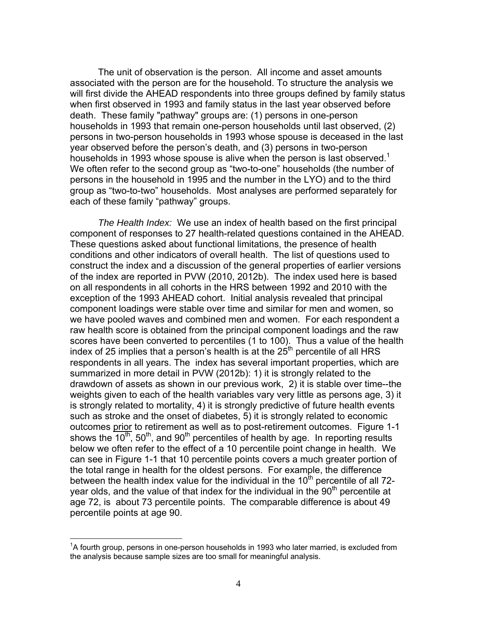The unit of observation is the person. All income and asset amounts associated with the person are for the household. To structure the analysis we will first divide the AHEAD respondents into three groups defined by family status when first observed in 1993 and family status in the last year observed before death. These family "pathway" groups are: (1) persons in one-person households in 1993 that remain one-person households until last observed, (2) persons in two-person households in 1993 whose spouse is deceased in the last year observed before the person's death, and (3) persons in two-person households in 1993 whose spouse is alive when the person is last observed.<sup>1</sup> We often refer to the second group as "two-to-one" households (the number of persons in the household in 1995 and the number in the LYO) and to the third group as "two-to-two" households. Most analyses are performed separately for each of these family "pathway" groups.

 *The Health Index:* We use an index of health based on the first principal component of responses to 27 health-related questions contained in the AHEAD. These questions asked about functional limitations, the presence of health conditions and other indicators of overall health. The list of questions used to construct the index and a discussion of the general properties of earlier versions of the index are reported in PVW (2010, 2012b). The index used here is based on all respondents in all cohorts in the HRS between 1992 and 2010 with the exception of the 1993 AHEAD cohort. Initial analysis revealed that principal component loadings were stable over time and similar for men and women, so we have pooled waves and combined men and women. For each respondent a raw health score is obtained from the principal component loadings and the raw scores have been converted to percentiles (1 to 100). Thus a value of the health index of 25 implies that a person's health is at the  $25<sup>th</sup>$  percentile of all HRS respondents in all years. The index has several important properties, which are summarized in more detail in PVW (2012b): 1) it is strongly related to the drawdown of assets as shown in our previous work, 2) it is stable over time--the weights given to each of the health variables vary very little as persons age, 3) it is strongly related to mortality, 4) it is strongly predictive of future health events such as stroke and the onset of diabetes, 5) it is strongly related to economic outcomes prior to retirement as well as to post-retirement outcomes. Figure 1-1 shows the  $10^{th}$ , 50<sup>th</sup>, and 90<sup>th</sup> percentiles of health by age. In reporting results below we often refer to the effect of a 10 percentile point change in health. We can see in Figure 1-1 that 10 percentile points covers a much greater portion of the total range in health for the oldest persons. For example, the difference between the health index value for the individual in the  $10<sup>th</sup>$  percentile of all 72year olds, and the value of that index for the individual in the  $90<sup>th</sup>$  percentile at age 72, is about 73 percentile points. The comparable difference is about 49 percentile points at age 90.

 $\overline{a}$ 

<sup>&</sup>lt;sup>1</sup>A fourth group, persons in one-person households in 1993 who later married, is excluded from the analysis because sample sizes are too small for meaningful analysis.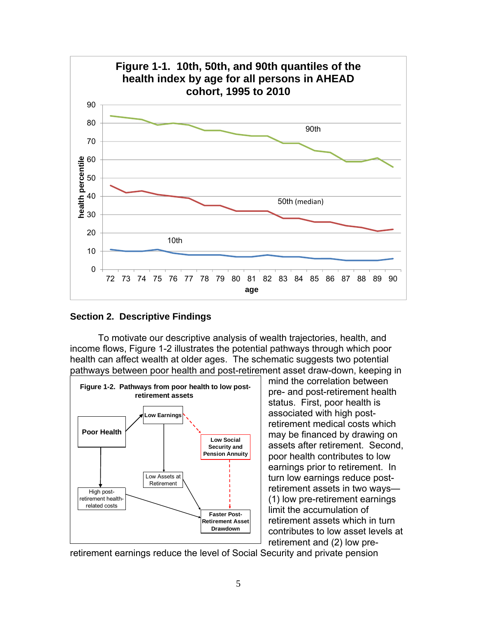

**Section 2. Descriptive Findings**

To motivate our descriptive analysis of wealth trajectories, health, and income flows, Figure 1-2 illustrates the potential pathways through which poor health can affect wealth at older ages. The schematic suggests two potential pathways between poor health and post-retirement asset draw-down, keeping in



mind the correlation between pre- and post-retirement health status. First, poor health is associated with high postretirement medical costs which may be financed by drawing on assets after retirement. Second, poor health contributes to low earnings prior to retirement. In turn low earnings reduce postretirement assets in two ways— (1) low pre-retirement earnings limit the accumulation of retirement assets which in turn contributes to low asset levels at retirement and (2) low pre-

retirement earnings reduce the level of Social Security and private pension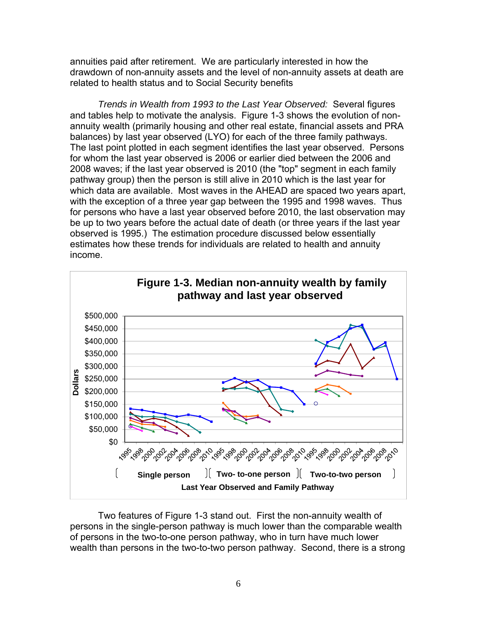annuities paid after retirement. We are particularly interested in how the drawdown of non-annuity assets and the level of non-annuity assets at death are related to health status and to Social Security benefits

*Trends in Wealth from 1993 to the Last Year Observed:* Several figures and tables help to motivate the analysis. Figure 1-3 shows the evolution of nonannuity wealth (primarily housing and other real estate, financial assets and PRA balances) by last year observed (LYO) for each of the three family pathways. The last point plotted in each segment identifies the last year observed. Persons for whom the last year observed is 2006 or earlier died between the 2006 and 2008 waves; if the last year observed is 2010 (the "top" segment in each family pathway group) then the person is still alive in 2010 which is the last year for which data are available. Most waves in the AHEAD are spaced two years apart, with the exception of a three year gap between the 1995 and 1998 waves. Thus for persons who have a last year observed before 2010, the last observation may be up to two years before the actual date of death (or three years if the last year observed is 1995.) The estimation procedure discussed below essentially estimates how these trends for individuals are related to health and annuity income.



Two features of Figure 1-3 stand out. First the non-annuity wealth of persons in the single-person pathway is much lower than the comparable wealth of persons in the two-to-one person pathway, who in turn have much lower wealth than persons in the two-to-two person pathway. Second, there is a strong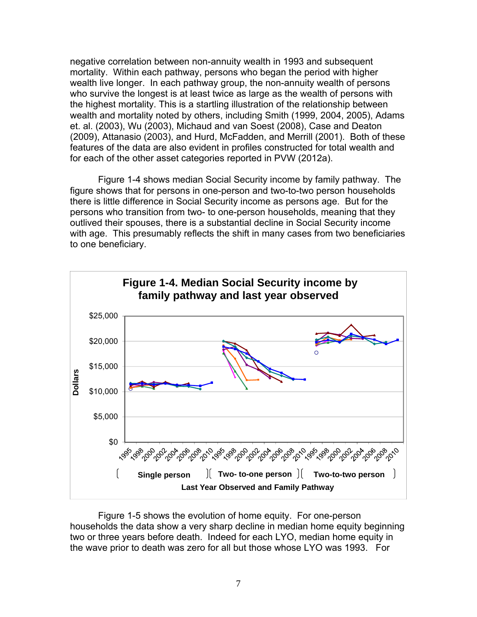negative correlation between non-annuity wealth in 1993 and subsequent mortality. Within each pathway, persons who began the period with higher wealth live longer. In each pathway group, the non-annuity wealth of persons who survive the longest is at least twice as large as the wealth of persons with the highest mortality. This is a startling illustration of the relationship between wealth and mortality noted by others, including Smith (1999, 2004, 2005), Adams et. al. (2003), Wu (2003), Michaud and van Soest (2008), Case and Deaton (2009), Attanasio (2003), and Hurd, McFadden, and Merrill (2001). Both of these features of the data are also evident in profiles constructed for total wealth and for each of the other asset categories reported in PVW (2012a).

Figure 1-4 shows median Social Security income by family pathway. The figure shows that for persons in one-person and two-to-two person households there is little difference in Social Security income as persons age. But for the persons who transition from two- to one-person households, meaning that they outlived their spouses, there is a substantial decline in Social Security income with age. This presumably reflects the shift in many cases from two beneficiaries to one beneficiary.



Figure 1-5 shows the evolution of home equity. For one-person households the data show a very sharp decline in median home equity beginning two or three years before death. Indeed for each LYO, median home equity in the wave prior to death was zero for all but those whose LYO was 1993. For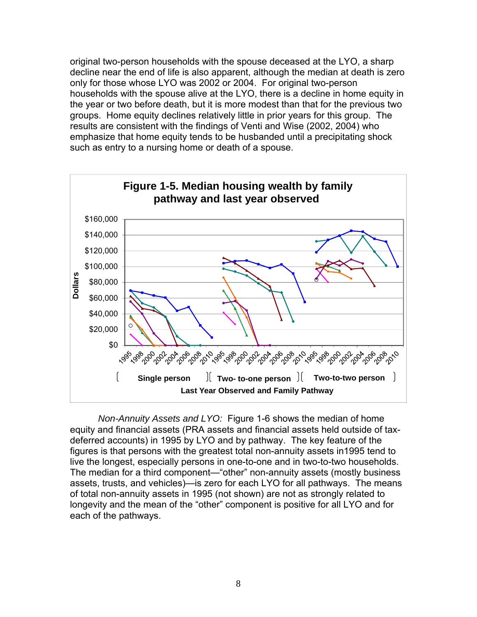original two-person households with the spouse deceased at the LYO, a sharp decline near the end of life is also apparent, although the median at death is zero only for those whose LYO was 2002 or 2004. For original two-person households with the spouse alive at the LYO, there is a decline in home equity in the year or two before death, but it is more modest than that for the previous two groups. Home equity declines relatively little in prior years for this group. The results are consistent with the findings of Venti and Wise (2002, 2004) who emphasize that home equity tends to be husbanded until a precipitating shock such as entry to a nursing home or death of a spouse.



*Non-Annuity Assets and LYO:* Figure 1-6 shows the median of home equity and financial assets (PRA assets and financial assets held outside of taxdeferred accounts) in 1995 by LYO and by pathway. The key feature of the figures is that persons with the greatest total non-annuity assets in1995 tend to live the longest, especially persons in one-to-one and in two-to-two households. The median for a third component—"other" non-annuity assets (mostly business assets, trusts, and vehicles)—is zero for each LYO for all pathways. The means of total non-annuity assets in 1995 (not shown) are not as strongly related to longevity and the mean of the "other" component is positive for all LYO and for each of the pathways.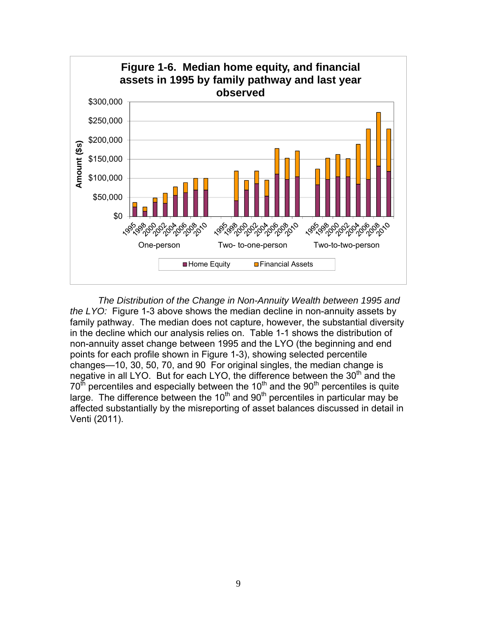

*The Distribution of the Change in Non-Annuity Wealth between 1995 and the LYO:* Figure 1-3 above shows the median decline in non-annuity assets by family pathway. The median does not capture, however, the substantial diversity in the decline which our analysis relies on. Table 1-1 shows the distribution of non-annuity asset change between 1995 and the LYO (the beginning and end points for each profile shown in Figure 1-3), showing selected percentile changes—10, 30, 50, 70, and 90 For original singles, the median change is negative in all LYO. But for each LYO, the difference between the  $30<sup>th</sup>$  and the  $70<sup>th</sup>$  percentiles and especially between the 10<sup>th</sup> and the 90<sup>th</sup> percentiles is quite large. The difference between the 10<sup>th</sup> and 90<sup>th</sup> percentiles in particular may be affected substantially by the misreporting of asset balances discussed in detail in Venti (2011).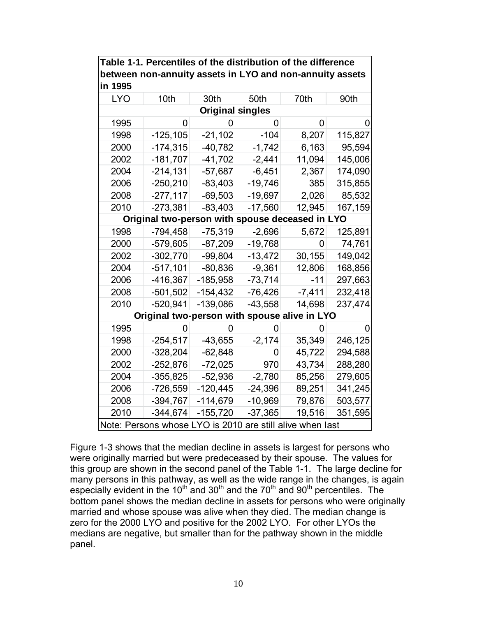| in 1995                                                   |                                                 |            |           |          |         |  |  |  |  |
|-----------------------------------------------------------|-------------------------------------------------|------------|-----------|----------|---------|--|--|--|--|
| <b>LYO</b>                                                | 10th                                            | 30th       | 50th      | 70th     | 90th    |  |  |  |  |
| <b>Original singles</b>                                   |                                                 |            |           |          |         |  |  |  |  |
| 1995                                                      | 0                                               | O          | O         | 0        |         |  |  |  |  |
| 1998                                                      | $-125, 105$                                     | $-21,102$  | $-104$    | 8,207    | 115,827 |  |  |  |  |
| 2000                                                      | $-174,315$                                      | $-40,782$  | $-1,742$  | 6,163    | 95,594  |  |  |  |  |
| 2002                                                      | $-181,707$                                      | -41,702    | $-2,441$  | 11,094   | 145,006 |  |  |  |  |
| 2004                                                      | $-214,131$                                      | $-57,687$  | $-6,451$  | 2,367    | 174,090 |  |  |  |  |
| 2006                                                      | $-250,210$                                      | $-83,403$  | $-19,746$ | 385      | 315,855 |  |  |  |  |
| 2008                                                      | $-277,117$                                      | $-69,503$  | $-19,697$ | 2,026    | 85,532  |  |  |  |  |
| 2010                                                      | $-273,381$                                      | $-83,403$  | $-17,560$ | 12,945   | 167,159 |  |  |  |  |
|                                                           | Original two-person with spouse deceased in LYO |            |           |          |         |  |  |  |  |
| 1998                                                      | $-794,458$                                      | $-75,319$  | $-2,696$  | 5,672    | 125,891 |  |  |  |  |
| 2000                                                      | -579,605                                        | -87,209    | $-19,768$ | 0        | 74,761  |  |  |  |  |
| 2002                                                      | $-302,770$                                      | $-99,804$  | $-13,472$ | 30,155   | 149,042 |  |  |  |  |
| 2004                                                      | $-517,101$                                      | $-80,836$  | $-9,361$  | 12,806   | 168,856 |  |  |  |  |
| 2006                                                      | -416,367                                        | -185,958   | $-73,714$ | -11      | 297,663 |  |  |  |  |
| 2008                                                      | $-501,502$                                      | -154,432   | $-76,426$ | $-7,411$ | 232,418 |  |  |  |  |
| 2010                                                      | $-520,941$                                      | $-139,086$ | $-43,558$ | 14,698   | 237,474 |  |  |  |  |
|                                                           | Original two-person with spouse alive in LYO    |            |           |          |         |  |  |  |  |
| 1995                                                      |                                                 | 0          | 0         |          |         |  |  |  |  |
| 1998                                                      | $-254,517$                                      | $-43,655$  | $-2,174$  | 35,349   | 246,125 |  |  |  |  |
| 2000                                                      | $-328,204$                                      | $-62,848$  | 0         | 45,722   | 294,588 |  |  |  |  |
| 2002                                                      | $-252,876$                                      | $-72,025$  | 970       | 43,734   | 288,280 |  |  |  |  |
| 2004                                                      | $-355,825$                                      | $-52,936$  | $-2,780$  | 85,256   | 279,605 |  |  |  |  |
| 2006                                                      | $-726,559$                                      | $-120,445$ | $-24,396$ | 89,251   | 341,245 |  |  |  |  |
| 2008                                                      | $-394,767$                                      | $-114,679$ | -10,969   | 79,876   | 503,577 |  |  |  |  |
| 2010                                                      | $-344,674$                                      | $-155,720$ | $-37,365$ | 19,516   | 351,595 |  |  |  |  |
| Note: Persons whose LYO is 2010 are still alive when last |                                                 |            |           |          |         |  |  |  |  |

**Table 1-1. Percentiles of the distribution of the difference between non-annuity assets in LYO and non-annuity assets** 

Figure 1-3 shows that the median decline in assets is largest for persons who were originally married but were predeceased by their spouse. The values for this group are shown in the second panel of the Table 1-1. The large decline for many persons in this pathway, as well as the wide range in the changes, is again especially evident in the 10<sup>th</sup> and 30<sup>th</sup> and the 70<sup>th</sup> and 90<sup>th</sup> percentiles. The bottom panel shows the median decline in assets for persons who were originally married and whose spouse was alive when they died. The median change is zero for the 2000 LYO and positive for the 2002 LYO. For other LYOs the medians are negative, but smaller than for the pathway shown in the middle panel.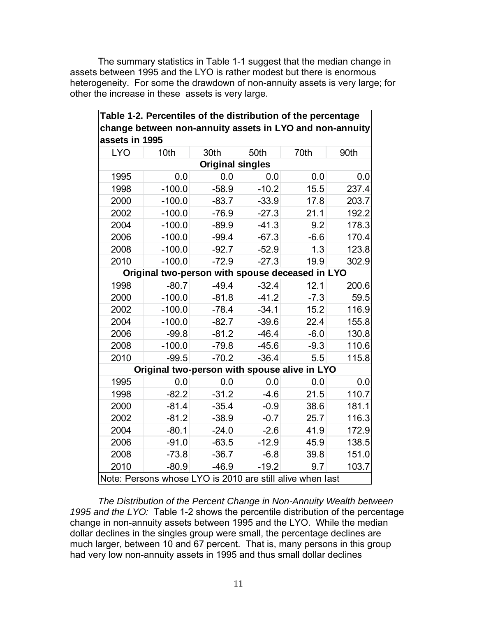The summary statistics in Table 1-1 suggest that the median change in assets between 1995 and the LYO is rather modest but there is enormous heterogeneity. For some the drawdown of non-annuity assets is very large; for other the increase in these assets is very large.

**Table 1-2. Percentiles of the distribution of the percentage** 

 $\blacksquare$ 

| change between non-annuity assets in LYO and non-annuity<br>assets in 1995 |                                                 |         |         |        |       |  |  |  |  |
|----------------------------------------------------------------------------|-------------------------------------------------|---------|---------|--------|-------|--|--|--|--|
| <b>LYO</b>                                                                 | 10th                                            | 30th    | 50th    | 70th   | 90th  |  |  |  |  |
| <b>Original singles</b>                                                    |                                                 |         |         |        |       |  |  |  |  |
| 1995                                                                       | 0.0                                             | 0.0     | 0.0     | 0.0    | 0.0   |  |  |  |  |
| 1998                                                                       | $-100.0$                                        | $-58.9$ | $-10.2$ | 15.5   | 237.4 |  |  |  |  |
| 2000                                                                       | $-100.0$                                        | $-83.7$ | $-33.9$ | 17.8   | 203.7 |  |  |  |  |
| 2002                                                                       | $-100.0$                                        | $-76.9$ | $-27.3$ | 21.1   | 192.2 |  |  |  |  |
| 2004                                                                       | $-100.0$                                        | $-89.9$ | $-41.3$ | 9.2    | 178.3 |  |  |  |  |
| 2006                                                                       | $-100.0$                                        | $-99.4$ | $-67.3$ | $-6.6$ | 170.4 |  |  |  |  |
| 2008                                                                       | $-100.0$                                        | $-92.7$ | $-52.9$ | 1.3    | 123.8 |  |  |  |  |
| 2010                                                                       | $-100.0$                                        | $-72.9$ | $-27.3$ | 19.9   | 302.9 |  |  |  |  |
|                                                                            | Original two-person with spouse deceased in LYO |         |         |        |       |  |  |  |  |
| 1998                                                                       | $-80.7$                                         | $-49.4$ | $-32.4$ | 12.1   | 200.6 |  |  |  |  |
| 2000                                                                       | $-100.0$                                        | $-81.8$ | $-41.2$ | $-7.3$ | 59.5  |  |  |  |  |
| 2002                                                                       | $-100.0$                                        | $-78.4$ | $-34.1$ | 15.2   | 116.9 |  |  |  |  |
| 2004                                                                       | $-100.0$                                        | $-82.7$ | $-39.6$ | 22.4   | 155.8 |  |  |  |  |
| 2006                                                                       | $-99.8$                                         | $-81.2$ | $-46.4$ | $-6.0$ | 130.8 |  |  |  |  |
| 2008                                                                       | $-100.0$                                        | $-79.8$ | $-45.6$ | $-9.3$ | 110.6 |  |  |  |  |
| 2010                                                                       | $-99.5$                                         | $-70.2$ | $-36.4$ | 5.5    | 115.8 |  |  |  |  |
|                                                                            | Original two-person with spouse alive in LYO    |         |         |        |       |  |  |  |  |
| 1995                                                                       | 0.0                                             | 0.0     | 0.0     | 0.0    | 0.0   |  |  |  |  |
| 1998                                                                       | $-82.2$                                         | $-31.2$ | $-4.6$  | 21.5   | 110.7 |  |  |  |  |
| 2000                                                                       | $-81.4$                                         | $-35.4$ | $-0.9$  | 38.6   | 181.1 |  |  |  |  |
| 2002                                                                       | $-81.2$                                         | $-38.9$ | $-0.7$  | 25.7   | 116.3 |  |  |  |  |
| 2004                                                                       | $-80.1$                                         | $-24.0$ | $-2.6$  | 41.9   | 172.9 |  |  |  |  |
| 2006                                                                       | $-91.0$                                         | $-63.5$ | $-12.9$ | 45.9   | 138.5 |  |  |  |  |
| 2008                                                                       | $-73.8$                                         | $-36.7$ | $-6.8$  | 39.8   | 151.0 |  |  |  |  |
| 2010                                                                       | $-80.9$                                         | $-46.9$ | $-19.2$ | 9.7    | 103.7 |  |  |  |  |
| Note: Persons whose LYO is 2010 are still alive when last                  |                                                 |         |         |        |       |  |  |  |  |

*The Distribution of the Percent Change in Non-Annuity Wealth between 1995 and the LYO:* Table 1-2 shows the percentile distribution of the percentage change in non-annuity assets between 1995 and the LYO. While the median dollar declines in the singles group were small, the percentage declines are much larger, between 10 and 67 percent. That is, many persons in this group had very low non-annuity assets in 1995 and thus small dollar declines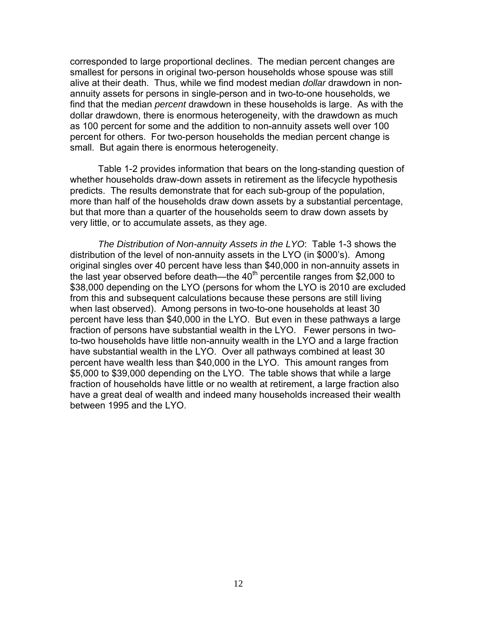corresponded to large proportional declines. The median percent changes are smallest for persons in original two-person households whose spouse was still alive at their death. Thus, while we find modest median *dollar* drawdown in nonannuity assets for persons in single-person and in two-to-one households, we find that the median *percent* drawdown in these households is large. As with the dollar drawdown, there is enormous heterogeneity, with the drawdown as much as 100 percent for some and the addition to non-annuity assets well over 100 percent for others. For two-person households the median percent change is small. But again there is enormous heterogeneity.

Table 1-2 provides information that bears on the long-standing question of whether households draw-down assets in retirement as the lifecycle hypothesis predicts. The results demonstrate that for each sub-group of the population, more than half of the households draw down assets by a substantial percentage, but that more than a quarter of the households seem to draw down assets by very little, or to accumulate assets, as they age.

*The Distribution of Non-annuity Assets in the LYO*: Table 1-3 shows the distribution of the level of non-annuity assets in the LYO (in \$000's). Among original singles over 40 percent have less than \$40,000 in non-annuity assets in the last year observed before death—the  $40<sup>th</sup>$  percentile ranges from \$2,000 to \$38,000 depending on the LYO (persons for whom the LYO is 2010 are excluded from this and subsequent calculations because these persons are still living when last observed). Among persons in two-to-one households at least 30 percent have less than \$40,000 in the LYO. But even in these pathways a large fraction of persons have substantial wealth in the LYO. Fewer persons in twoto-two households have little non-annuity wealth in the LYO and a large fraction have substantial wealth in the LYO. Over all pathways combined at least 30 percent have wealth less than \$40,000 in the LYO. This amount ranges from \$5,000 to \$39,000 depending on the LYO. The table shows that while a large fraction of households have little or no wealth at retirement, a large fraction also have a great deal of wealth and indeed many households increased their wealth between 1995 and the LYO.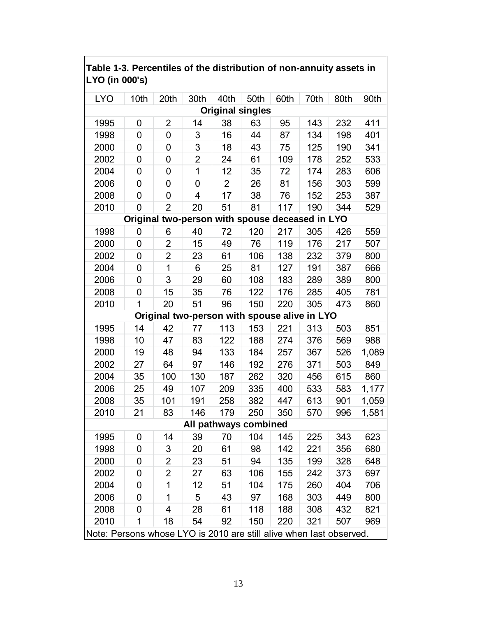| <b>LYO</b>                                                          | 10th                                            | 20th                                         | 30th           | 40th           | 50th                  | 60th | 70th | 80th | 90th  |  |  |
|---------------------------------------------------------------------|-------------------------------------------------|----------------------------------------------|----------------|----------------|-----------------------|------|------|------|-------|--|--|
| <b>Original singles</b>                                             |                                                 |                                              |                |                |                       |      |      |      |       |  |  |
| 1995                                                                | 0                                               | $\overline{2}$                               | 14             | 38             | 63                    | 95   | 143  | 232  | 411   |  |  |
| 1998                                                                | 0                                               | 0                                            | 3              | 16             | 44                    | 87   | 134  | 198  | 401   |  |  |
| 2000                                                                | 0                                               | 0                                            | 3              | 18             | 43                    | 75   | 125  | 190  | 341   |  |  |
| 2002                                                                | 0                                               | 0                                            | $\overline{2}$ | 24             | 61                    | 109  | 178  | 252  | 533   |  |  |
| 2004                                                                | 0                                               | 0                                            | 1              | 12             | 35                    | 72   | 174  | 283  | 606   |  |  |
| 2006                                                                | 0                                               | 0                                            | 0              | $\overline{2}$ | 26                    | 81   | 156  | 303  | 599   |  |  |
| 2008                                                                | 0                                               | 0                                            | $\overline{4}$ | 17             | 38                    | 76   | 152  | 253  | 387   |  |  |
| 2010                                                                | 0                                               | $\overline{2}$                               | 20             | 51             | 81                    | 117  | 190  | 344  | 529   |  |  |
|                                                                     | Original two-person with spouse deceased in LYO |                                              |                |                |                       |      |      |      |       |  |  |
| 1998                                                                | 0                                               | 6                                            | 40             | 72             | 120                   | 217  | 305  | 426  | 559   |  |  |
| 2000                                                                | 0                                               | $\overline{2}$                               | 15             | 49             | 76                    | 119  | 176  | 217  | 507   |  |  |
| 2002                                                                | 0                                               | $\overline{2}$                               | 23             | 61             | 106                   | 138  | 232  | 379  | 800   |  |  |
| 2004                                                                | 0                                               | 1                                            | 6              | 25             | 81                    | 127  | 191  | 387  | 666   |  |  |
| 2006                                                                | 0                                               | 3                                            | 29             | 60             | 108                   | 183  | 289  | 389  | 800   |  |  |
| 2008                                                                | 0                                               | 15                                           | 35             | 76             | 122                   | 176  | 285  | 405  | 781   |  |  |
| 2010                                                                | 1                                               | 20                                           | 51             | 96             | 150                   | 220  | 305  | 473  | 860   |  |  |
|                                                                     |                                                 | Original two-person with spouse alive in LYO |                |                |                       |      |      |      |       |  |  |
| 1995                                                                | 14                                              | 42                                           | 77             | 113            | 153                   | 221  | 313  | 503  | 851   |  |  |
| 1998                                                                | 10                                              | 47                                           | 83             | 122            | 188                   | 274  | 376  | 569  | 988   |  |  |
| 2000                                                                | 19                                              | 48                                           | 94             | 133            | 184                   | 257  | 367  | 526  | 1,089 |  |  |
| 2002                                                                | 27                                              | 64                                           | 97             | 146            | 192                   | 276  | 371  | 503  | 849   |  |  |
| 2004                                                                | 35                                              | 100                                          | 130            | 187            | 262                   | 320  | 456  | 615  | 860   |  |  |
| 2006                                                                | 25                                              | 49                                           | 107            | 209            | 335                   | 400  | 533  | 583  | 1,177 |  |  |
| 2008                                                                | 35                                              | 101                                          | 191            | 258            | 382                   | 447  | 613  | 901  | 1,059 |  |  |
| 2010                                                                | 21                                              | 83                                           | 146            | 179            | 250                   | 350  | 570  | 996  | 1,581 |  |  |
|                                                                     |                                                 |                                              |                |                | All pathways combined |      |      |      |       |  |  |
| 1995                                                                | 0                                               | 14                                           | 39             | 70             | 104                   | 145  | 225  | 343  | 623   |  |  |
| 1998                                                                | 0                                               | 3                                            | 20             | 61             | 98                    | 142  | 221  | 356  | 680   |  |  |
| 2000                                                                | 0                                               | $\overline{2}$                               | 23             | 51             | 94                    | 135  | 199  | 328  | 648   |  |  |
| 2002                                                                | 0                                               | 2                                            | 27             | 63             | 106                   | 155  | 242  | 373  | 697   |  |  |
| 2004                                                                | 0                                               | 1                                            | 12             | 51             | 104                   | 175  | 260  | 404  | 706   |  |  |
| 2006                                                                | 0                                               | 1                                            | 5              | 43             | 97                    | 168  | 303  | 449  | 800   |  |  |
| 2008                                                                | 0                                               | 4                                            | 28             | 61             | 118                   | 188  | 308  | 432  | 821   |  |  |
| 2010                                                                | 1                                               | 18                                           | 54             | 92             | 150                   | 220  | 321  | 507  | 969   |  |  |
| Note: Persons whose LYO is 2010 are still alive when last observed. |                                                 |                                              |                |                |                       |      |      |      |       |  |  |

# **Table 1-3. Percentiles of the distribution of non-annuity assets in LYO (in 000's)**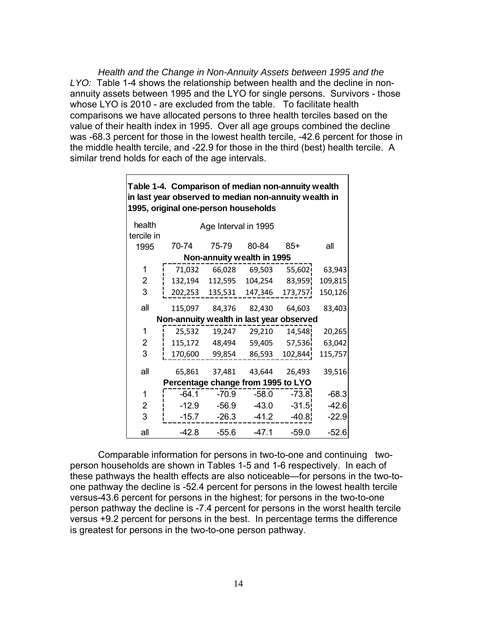*Health and the Change in Non-Annuity Assets between 1995 and the LYO:* Table 1-4 shows the relationship between health and the decline in nonannuity assets between 1995 and the LYO for single persons. Survivors - those whose LYO is 2010 - are excluded from the table. To facilitate health comparisons we have allocated persons to three health terciles based on the value of their health index in 1995. Over all age groups combined the decline was -68.3 percent for those in the lowest health tercile, -42.6 percent for those in the middle health tercile, and -22.9 for those in the third (best) health tercile. A similar trend holds for each of the age intervals.

| Table 1-4. Comparison of median non-annuity wealth<br>in last year observed to median non-annuity wealth in<br>1995, original one-person households |                      |                                          |                      |                            |         |         |  |  |  |
|-----------------------------------------------------------------------------------------------------------------------------------------------------|----------------------|------------------------------------------|----------------------|----------------------------|---------|---------|--|--|--|
|                                                                                                                                                     | health<br>tercile in |                                          | Age Interval in 1995 |                            |         |         |  |  |  |
|                                                                                                                                                     | 1995                 | 70-74                                    | 75-79                | 80-84                      | 85+     | all     |  |  |  |
|                                                                                                                                                     |                      |                                          |                      | Non-annuity wealth in 1995 |         |         |  |  |  |
|                                                                                                                                                     | 1                    | 71,032                                   | 66,028               | 69,503                     | 55,602  | 63,943  |  |  |  |
|                                                                                                                                                     | 2                    | 132,194                                  | 112,595              | 104,254                    | 83,959  | 109,815 |  |  |  |
|                                                                                                                                                     | 3                    |                                          | 202,253 135,531      | 147,346                    | 173,757 | 150,126 |  |  |  |
|                                                                                                                                                     | all                  | 115,097                                  |                      | 84,376 82,430              | 64,603  | 83,403  |  |  |  |
|                                                                                                                                                     |                      | Non-annuity wealth in last year observed |                      |                            |         |         |  |  |  |
|                                                                                                                                                     | 1                    | 25,532                                   | 19,247               | 29,210                     | 14,548  | 20,265  |  |  |  |
|                                                                                                                                                     | 2                    | 115,172                                  | 48,494               | 59,405                     | 57,536  | 63,042  |  |  |  |
|                                                                                                                                                     | 3                    | 170,600                                  | 99,854               | 86,593                     | 102,844 | 115,757 |  |  |  |
|                                                                                                                                                     | all                  | 65,861                                   | 37,481               | 43,644                     | 26,493  | 39,516  |  |  |  |
|                                                                                                                                                     |                      | Percentage change from 1995 to LYO       |                      |                            |         |         |  |  |  |
|                                                                                                                                                     | 1                    | $-64.1$                                  | -70.9                | $-58.0$                    | $-73.8$ | $-68.3$ |  |  |  |
|                                                                                                                                                     | 2                    | $-12.9$                                  | $-56.9$              | $-43.0$                    | $-31.5$ | $-42.6$ |  |  |  |
|                                                                                                                                                     | 3                    | $-15.7$                                  | $-26.3$              | $-41.2$                    | $-40.8$ | $-22.9$ |  |  |  |
|                                                                                                                                                     | all                  | $-42.8$                                  | $-55.6$              | $-47.1$                    | $-59.0$ | $-52.6$ |  |  |  |

 Comparable information for persons in two-to-one and continuing twoperson households are shown in Tables 1-5 and 1-6 respectively. In each of these pathways the health effects are also noticeable—for persons in the two-toone pathway the decline is -52.4 percent for persons in the lowest health tercile versus-43.6 percent for persons in the highest; for persons in the two-to-one person pathway the decline is -7.4 percent for persons in the worst health tercile versus +9.2 percent for persons in the best. In percentage terms the difference is greatest for persons in the two-to-one person pathway.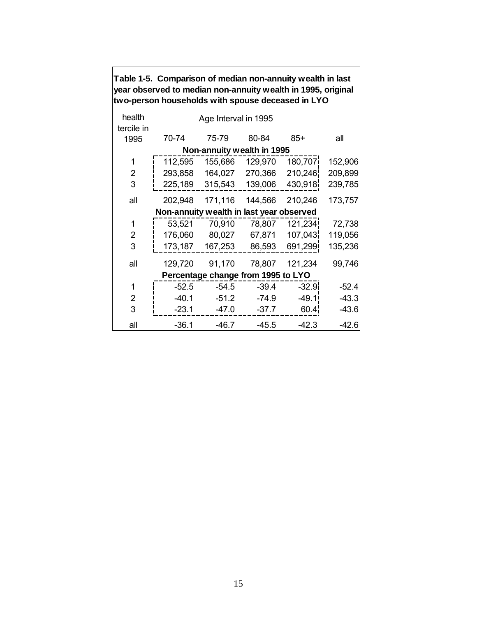|                      | year Observed to mediam norramidity wealth in 1990, Onginal<br>two-person households with spouse deceased in LYO |                      |                                    |         |         |  |  |  |  |  |  |
|----------------------|------------------------------------------------------------------------------------------------------------------|----------------------|------------------------------------|---------|---------|--|--|--|--|--|--|
| health<br>tercile in |                                                                                                                  | Age Interval in 1995 |                                    |         |         |  |  |  |  |  |  |
| 1995                 | 70-74                                                                                                            | 75-79                | 80-84                              | $85+$   | all     |  |  |  |  |  |  |
|                      | Non-annuity wealth in 1995                                                                                       |                      |                                    |         |         |  |  |  |  |  |  |
| 1                    | 112,595                                                                                                          | 155,686              | 129,970                            | 180,707 | 152,906 |  |  |  |  |  |  |
| 2                    | 293,858                                                                                                          | 164,027              | 270,366                            | 210,246 | 209,899 |  |  |  |  |  |  |
| 3                    | 225,189                                                                                                          | 315,543              | 139,006                            | 430,918 | 239,785 |  |  |  |  |  |  |
| all                  | 202,948                                                                                                          | 171,116              | 144,566                            | 210,246 | 173,757 |  |  |  |  |  |  |
|                      | Non-annuity wealth in last year observed                                                                         |                      |                                    |         |         |  |  |  |  |  |  |
| 1                    | 53,521                                                                                                           | 70,910               | 78,807                             | 121,234 | 72,738  |  |  |  |  |  |  |
| 2                    | 176,060                                                                                                          | 80,027               | 67,871                             | 107,043 | 119,056 |  |  |  |  |  |  |
| 3                    | 173,187                                                                                                          | 167,253              | 86,593                             | 691,299 | 135,236 |  |  |  |  |  |  |
| all                  | 129,720                                                                                                          | 91,170               | 78,807                             | 121,234 | 99,746  |  |  |  |  |  |  |
|                      |                                                                                                                  |                      | Percentage change from 1995 to LYO |         |         |  |  |  |  |  |  |
| 1                    | $-52.5$                                                                                                          | $-54.5$              | $-39.4$                            | $-32.9$ | $-52.4$ |  |  |  |  |  |  |
| 2                    | $-40.1$                                                                                                          | $-51.2$              | $-74.9$                            | $-49.1$ | $-43.3$ |  |  |  |  |  |  |
| 3                    | $-23.1$                                                                                                          | $-47.0$              | $-37.7$                            | 60.4    | $-43.6$ |  |  |  |  |  |  |
| all                  | $-36.1$                                                                                                          | $-46.7$              | $-45.5$                            | $-42.3$ | $-42.6$ |  |  |  |  |  |  |

**Table 1-5. Comparison of median non-annuity wealth in last year observed to median non-annuity wealth in 1995, original**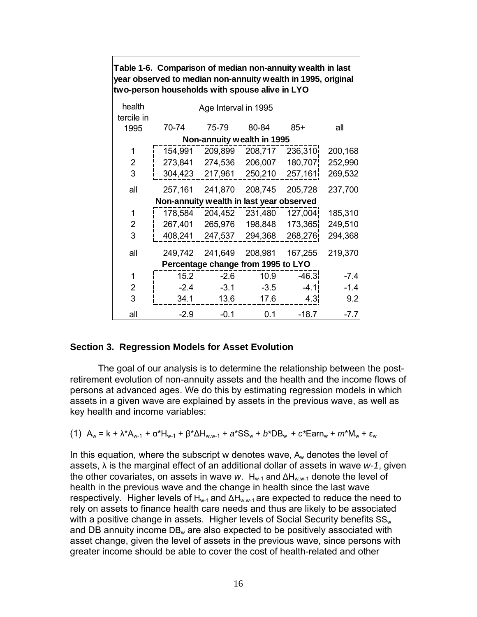|                                    | Table 1-6. Comparison of median non-annuity wealth in last<br>year observed to median non-annuity wealth in 1995, original |                      |                            |         |         |  |  |  |  |  |
|------------------------------------|----------------------------------------------------------------------------------------------------------------------------|----------------------|----------------------------|---------|---------|--|--|--|--|--|
|                                    | two-person households with spouse alive in LYO                                                                             |                      |                            |         |         |  |  |  |  |  |
| health<br>tercile in               |                                                                                                                            | Age Interval in 1995 |                            |         |         |  |  |  |  |  |
| 1995                               | 70-74                                                                                                                      | 75-79                | 80-84                      | $85+$   | all     |  |  |  |  |  |
|                                    |                                                                                                                            |                      | Non-annuity wealth in 1995 |         |         |  |  |  |  |  |
| 1                                  | 154,991                                                                                                                    | 209,899              | 208,717                    | 236,310 | 200,168 |  |  |  |  |  |
| 2                                  | 273,841                                                                                                                    | 274,536              | 206,007                    | 180,707 | 252,990 |  |  |  |  |  |
| 3                                  | 304,423                                                                                                                    | 217,961              | 250,210                    | 257,161 | 269,532 |  |  |  |  |  |
| all                                | 257,161                                                                                                                    | 241,870              | 208,745                    | 205,728 | 237,700 |  |  |  |  |  |
|                                    | Non-annuity wealth in last year observed                                                                                   |                      |                            |         |         |  |  |  |  |  |
| 1                                  | 178,584                                                                                                                    | 204,452              | 231,480                    | 127,004 | 185,310 |  |  |  |  |  |
| $\overline{2}$                     | 267,401                                                                                                                    | 265,976              | 198,848                    | 173,365 | 249,510 |  |  |  |  |  |
| 3                                  | 408,241                                                                                                                    | 247,537              | 294,368                    | 268,276 | 294,368 |  |  |  |  |  |
| all                                | 249,742                                                                                                                    | 241,649              | 208,981                    | 167,255 | 219,370 |  |  |  |  |  |
| Percentage change from 1995 to LYO |                                                                                                                            |                      |                            |         |         |  |  |  |  |  |
| 1                                  | 15.2                                                                                                                       | $-2.6$               | 10.9                       | $-46.3$ | $-7.4$  |  |  |  |  |  |
| 2                                  | $-2.4$                                                                                                                     | $-3.1$               | $-3.5$                     | $-4.1$  | $-1.4$  |  |  |  |  |  |
| 3                                  | 34.1                                                                                                                       | 13.6                 | 17.6                       | 4.3     | 9.2     |  |  |  |  |  |
| all                                | $-2.9$                                                                                                                     | $-0.1$               | 0.1                        | $-18.7$ | $-7.7$  |  |  |  |  |  |

### **Section 3. Regression Models for Asset Evolution**

The goal of our analysis is to determine the relationship between the postretirement evolution of non-annuity assets and the health and the income flows of persons at advanced ages. We do this by estimating regression models in which assets in a given wave are explained by assets in the previous wave, as well as key health and income variables:

(1) 
$$
A_w = k + \lambda^* A_{w-1} + \alpha^* H_{w-1} + \beta^* \Delta H_{w,w-1} + a^* S S_w + b^* D B_w + c^* E a r n_w + m^* M_w + \varepsilon_w
$$

In this equation, where the subscript w denotes wave,  $A_w$  denotes the level of assets, λ is the marginal effect of an additional dollar of assets in wave *w-1*, given the other covariates, on assets in wave *w*. H<sub>w-1</sub> and ∆H<sub>w w-1</sub> denote the level of health in the previous wave and the change in health since the last wave respectively. Higher levels of H<sub>w-1</sub> and  $\Delta H_{w,w-1}$  are expected to reduce the need to rely on assets to finance health care needs and thus are likely to be associated with a positive change in assets. Higher levels of Social Security benefits  $SS_{w}$ and DB annuity income  $DB_w$  are also expected to be positively associated with asset change, given the level of assets in the previous wave, since persons with greater income should be able to cover the cost of health-related and other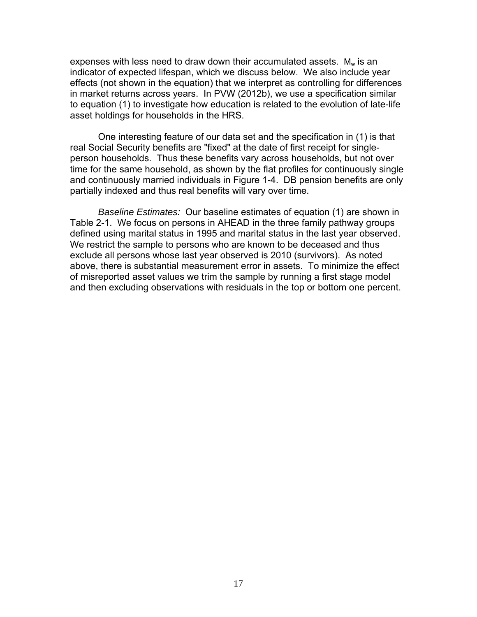expenses with less need to draw down their accumulated assets.  $M_w$  is an indicator of expected lifespan, which we discuss below. We also include year effects (not shown in the equation) that we interpret as controlling for differences in market returns across years. In PVW (2012b), we use a specification similar to equation (1) to investigate how education is related to the evolution of late-life asset holdings for households in the HRS.

One interesting feature of our data set and the specification in (1) is that real Social Security benefits are "fixed" at the date of first receipt for singleperson households. Thus these benefits vary across households, but not over time for the same household, as shown by the flat profiles for continuously single and continuously married individuals in Figure 1-4. DB pension benefits are only partially indexed and thus real benefits will vary over time.

*Baseline Estimates:* Our baseline estimates of equation (1) are shown in Table 2-1. We focus on persons in AHEAD in the three family pathway groups defined using marital status in 1995 and marital status in the last year observed. We restrict the sample to persons who are known to be deceased and thus exclude all persons whose last year observed is 2010 (survivors). As noted above, there is substantial measurement error in assets. To minimize the effect of misreported asset values we trim the sample by running a first stage model and then excluding observations with residuals in the top or bottom one percent.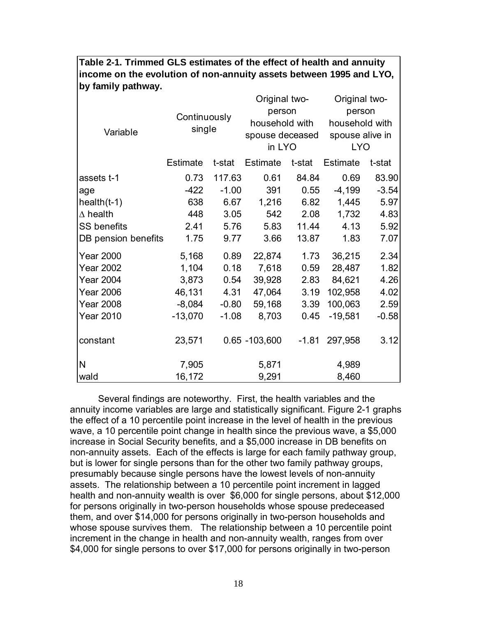| Variable            | Continuously<br>single |         | Original two-<br>person<br>spouse deceased<br>in LYO | household with | Original two-<br>person<br>household with<br>spouse alive in<br><b>LYO</b> |         |
|---------------------|------------------------|---------|------------------------------------------------------|----------------|----------------------------------------------------------------------------|---------|
|                     | <b>Estimate</b>        | t-stat  | Estimate                                             | t-stat         | Estimate                                                                   | t-stat  |
| assets t-1          | 0.73                   | 117.63  | 0.61                                                 | 84.84          | 0.69                                                                       | 83.90   |
| age                 | $-422$                 | $-1.00$ | 391                                                  | 0.55           | $-4,199$                                                                   | $-3.54$ |
| $health(t-1)$       | 638                    | 6.67    | 1,216                                                | 6.82           | 1,445                                                                      | 5.97    |
| $\Delta$ health     | 448                    | 3.05    | 542                                                  | 2.08           | 1,732                                                                      | 4.83    |
| <b>SS benefits</b>  | 2.41                   | 5.76    | 5.83                                                 | 11.44          | 4.13                                                                       | 5.92    |
| DB pension benefits | 1.75                   | 9.77    | 3.66                                                 | 13.87          | 1.83                                                                       | 7.07    |
| <b>Year 2000</b>    | 5,168                  | 0.89    | 22,874                                               | 1.73           | 36,215                                                                     | 2.34    |
| <b>Year 2002</b>    | 1,104                  | 0.18    | 7,618                                                | 0.59           | 28,487                                                                     | 1.82    |
| <b>Year 2004</b>    | 3,873                  | 0.54    | 39,928                                               | 2.83           | 84,621                                                                     | 4.26    |
| <b>Year 2006</b>    | 46,131                 | 4.31    | 47,064                                               | 3.19           | 102,958                                                                    | 4.02    |
| <b>Year 2008</b>    | $-8,084$               | $-0.80$ | 59,168                                               | 3.39           | 100,063                                                                    | 2.59    |
| <b>Year 2010</b>    | $-13,070$              | $-1.08$ | 8,703                                                | 0.45           | $-19,581$                                                                  | $-0.58$ |
| constant            | 23,571                 |         | $0.65 - 103,600$                                     | $-1.81$        | 297,958                                                                    | 3.12    |
| N                   | 7,905                  |         | 5,871                                                |                | 4,989                                                                      |         |
| wald                | 16,172                 |         | 9,291                                                |                | 8,460                                                                      |         |

**Table 2-1. Trimmed GLS estimates of the effect of health and annuity income on the evolution of non-annuity assets between 1995 and LYO, by family pathway.**

 Several findings are noteworthy. First, the health variables and the annuity income variables are large and statistically significant. Figure 2-1 graphs the effect of a 10 percentile point increase in the level of health in the previous wave, a 10 percentile point change in health since the previous wave, a \$5,000 increase in Social Security benefits, and a \$5,000 increase in DB benefits on non-annuity assets. Each of the effects is large for each family pathway group, but is lower for single persons than for the other two family pathway groups, presumably because single persons have the lowest levels of non-annuity assets. The relationship between a 10 percentile point increment in lagged health and non-annuity wealth is over \$6,000 for single persons, about \$12,000 for persons originally in two-person households whose spouse predeceased them, and over \$14,000 for persons originally in two-person households and whose spouse survives them. The relationship between a 10 percentile point increment in the change in health and non-annuity wealth, ranges from over \$4,000 for single persons to over \$17,000 for persons originally in two-person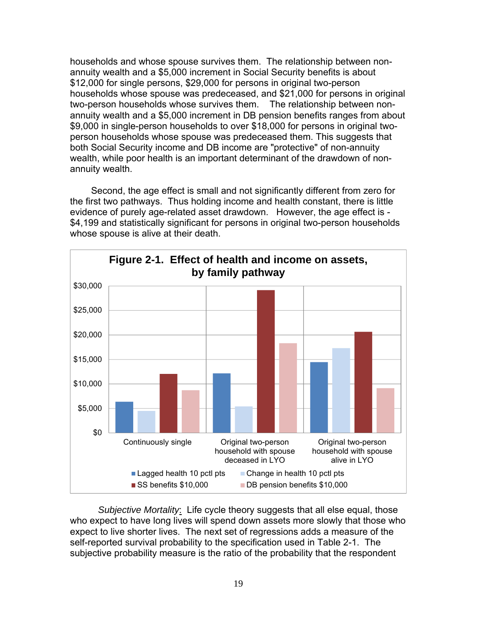households and whose spouse survives them. The relationship between nonannuity wealth and a \$5,000 increment in Social Security benefits is about \$12,000 for single persons, \$29,000 for persons in original two-person households whose spouse was predeceased, and \$21,000 for persons in original two-person households whose survives them. The relationship between nonannuity wealth and a \$5,000 increment in DB pension benefits ranges from about \$9,000 in single-person households to over \$18,000 for persons in original twoperson households whose spouse was predeceased them. This suggests that both Social Security income and DB income are "protective" of non-annuity wealth, while poor health is an important determinant of the drawdown of nonannuity wealth.

Second, the age effect is small and not significantly different from zero for the first two pathways. Thus holding income and health constant, there is little evidence of purely age-related asset drawdown. However, the age effect is - \$4,199 and statistically significant for persons in original two-person households whose spouse is alive at their death.



*Subjective Mortality*: Life cycle theory suggests that all else equal, those who expect to have long lives will spend down assets more slowly that those who expect to live shorter lives. The next set of regressions adds a measure of the self-reported survival probability to the specification used in Table 2-1. The subjective probability measure is the ratio of the probability that the respondent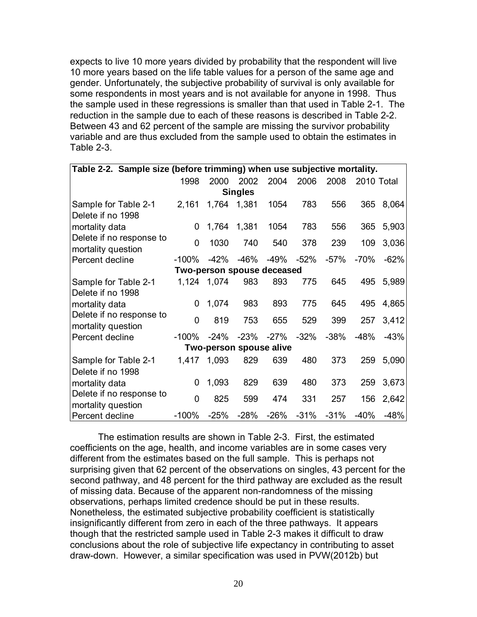expects to live 10 more years divided by probability that the respondent will live 10 more years based on the life table values for a person of the same age and gender. Unfortunately, the subjective probability of survival is only available for some respondents in most years and is not available for anyone in 1998. Thus the sample used in these regressions is smaller than that used in Table 2-1. The reduction in the sample due to each of these reasons is described in Table 2-2. Between 43 and 62 percent of the sample are missing the survivor probability variable and are thus excluded from the sample used to obtain the estimates in Table 2-3.

| Table 2-2. Sample size (before trimming) when use subjective mortality. |          |        |                            |        |        |        |            |        |  |  |
|-------------------------------------------------------------------------|----------|--------|----------------------------|--------|--------|--------|------------|--------|--|--|
|                                                                         | 1998     | 2000   | 2002                       | 2004   | 2006   | 2008   | 2010 Total |        |  |  |
| <b>Singles</b>                                                          |          |        |                            |        |        |        |            |        |  |  |
| Sample for Table 2-1                                                    | 2,161    | 1,764  | 1,381                      | 1054   | 783    | 556    | 365        | 8,064  |  |  |
| Delete if no 1998                                                       |          |        |                            |        |        |        |            |        |  |  |
| mortality data                                                          | 0        |        | 1,764 1,381                | 1054   | 783    | 556    | 365        | 5,903  |  |  |
| Delete if no response to                                                | 0        | 1030   | 740                        | 540    | 378    | 239    | 109        | 3,036  |  |  |
| mortality question                                                      |          |        |                            |        |        |        |            |        |  |  |
| Percent decline                                                         | $-100\%$ | -42%   | -46%                       | -49%   | $-52%$ | $-57%$ | $-70%$     | $-62%$ |  |  |
|                                                                         |          |        | Two-person spouse deceased |        |        |        |            |        |  |  |
| Sample for Table 2-1                                                    | 1,124    | 1,074  | 983                        | 893    | 775    | 645    | 495        | 5,989  |  |  |
| Delete if no 1998                                                       |          |        |                            |        |        |        |            |        |  |  |
| mortality data                                                          | 0        | 1,074  | 983                        | 893    | 775    | 645    | 495        | 4,865  |  |  |
| Delete if no response to                                                | 0        | 819    | 753                        | 655    | 529    | 399    | 257        | 3,412  |  |  |
| mortality question                                                      |          |        |                            |        |        |        |            |        |  |  |
| Percent decline                                                         | $-100%$  | $-24%$ | $-23%$                     | $-27%$ | $-32%$ | $-38%$ | -48%       | $-43%$ |  |  |
|                                                                         |          |        | Two-person spouse alive    |        |        |        |            |        |  |  |
| Sample for Table 2-1                                                    | 1,417    | 1,093  | 829                        | 639    | 480    | 373    | 259        | 5,090  |  |  |
| Delete if no 1998                                                       |          |        |                            |        |        |        |            |        |  |  |
| mortality data                                                          | 0        | 1,093  | 829                        | 639    | 480    | 373    | 259        | 3,673  |  |  |
| Delete if no response to                                                | 0        | 825    | 599                        | 474    | 331    | 257    | 156        | 2,642  |  |  |
| mortality question                                                      |          |        |                            |        |        |        |            |        |  |  |
| Percent decline                                                         | $-100%$  | $-25%$ | $-28%$                     | $-26%$ | $-31%$ | $-31%$ | $-40%$     | $-48%$ |  |  |

 The estimation results are shown in Table 2-3. First, the estimated coefficients on the age, health, and income variables are in some cases very different from the estimates based on the full sample. This is perhaps not surprising given that 62 percent of the observations on singles, 43 percent for the second pathway, and 48 percent for the third pathway are excluded as the result of missing data. Because of the apparent non-randomness of the missing observations, perhaps limited credence should be put in these results. Nonetheless, the estimated subjective probability coefficient is statistically insignificantly different from zero in each of the three pathways. It appears though that the restricted sample used in Table 2-3 makes it difficult to draw conclusions about the role of subjective life expectancy in contributing to asset draw-down. However, a similar specification was used in PVW(2012b) but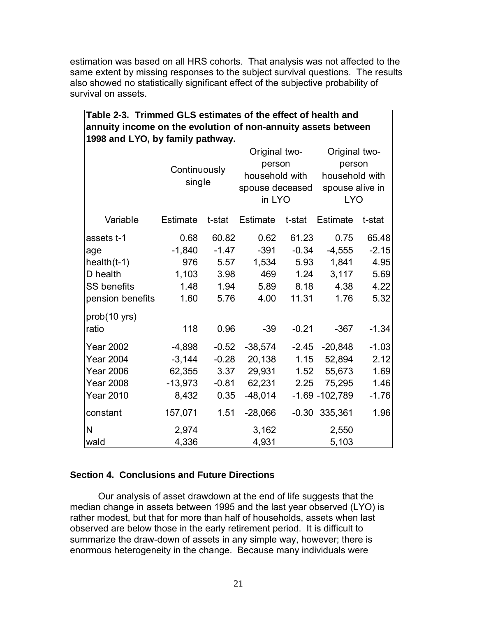estimation was based on all HRS cohorts. That analysis was not affected to the same extent by missing responses to the subject survival questions. The results also showed no statistically significant effect of the subjective probability of survival on assets.

| Table 2-3. Trimmed GLS estimates of the effect of health and  |  |  |  |  |  |  |
|---------------------------------------------------------------|--|--|--|--|--|--|
| annuity income on the evolution of non-annuity assets between |  |  |  |  |  |  |
| 1998 and LYO, by family pathway.                              |  |  |  |  |  |  |

|                    |                 |         | Original two-   |         | Original two-     |         |  |
|--------------------|-----------------|---------|-----------------|---------|-------------------|---------|--|
|                    |                 |         | person          |         | person            |         |  |
|                    | Continuously    |         | household with  |         | household with    |         |  |
|                    | single          |         | spouse deceased |         | spouse alive in   |         |  |
|                    |                 |         | in LYO          |         | <b>LYO</b>        |         |  |
| Variable           | <b>Estimate</b> | t-stat  | <b>Estimate</b> | t-stat  | <b>Estimate</b>   | t-stat  |  |
| assets t-1         | 0.68            | 60.82   | 0.62            | 61.23   | 0.75              | 65.48   |  |
| age                | $-1,840$        | $-1.47$ | $-391$          | $-0.34$ | $-4,555$          | $-2.15$ |  |
| $health(t-1)$      | 976             | 5.57    | 1,534           | 5.93    | 1,841             | 4.95    |  |
| D health           | 1,103           | 3.98    | 469             | 1.24    | 3,117             | 5.69    |  |
| <b>SS benefits</b> | 1.48            | 1.94    | 5.89            | 8.18    | 4.38              | 4.22    |  |
| pension benefits   | 1.60            | 5.76    | 4.00            | 11.31   | 1.76              | 5.32    |  |
| prob(10 yrs)       |                 |         |                 |         |                   |         |  |
| ratio              | 118             | 0.96    | -39             | $-0.21$ | $-367$            | $-1.34$ |  |
| <b>Year 2002</b>   | $-4,898$        | $-0.52$ | $-38,574$       | $-2.45$ | $-20,848$         | $-1.03$ |  |
| <b>Year 2004</b>   | $-3,144$        | $-0.28$ | 20,138          | 1.15    | 52,894            | 2.12    |  |
| <b>Year 2006</b>   | 62,355          | 3.37    | 29,931          | 1.52    | 55,673            | 1.69    |  |
| <b>Year 2008</b>   | $-13,973$       | $-0.81$ | 62,231          | 2.25    | 75,295            | 1.46    |  |
| <b>Year 2010</b>   | 8,432           | 0.35    | $-48,014$       |         | $-1.69 - 102,789$ | $-1.76$ |  |
| constant           | 157,071         | 1.51    | $-28,066$       |         | $-0.30$ 335,361   | 1.96    |  |
| N                  | 2,974           |         | 3,162           |         | 2,550             |         |  |
| wald               | 4,336           |         | 4,931           |         | 5,103             |         |  |

## **Section 4. Conclusions and Future Directions**

Our analysis of asset drawdown at the end of life suggests that the median change in assets between 1995 and the last year observed (LYO) is rather modest, but that for more than half of households, assets when last observed are below those in the early retirement period. It is difficult to summarize the draw-down of assets in any simple way, however; there is enormous heterogeneity in the change. Because many individuals were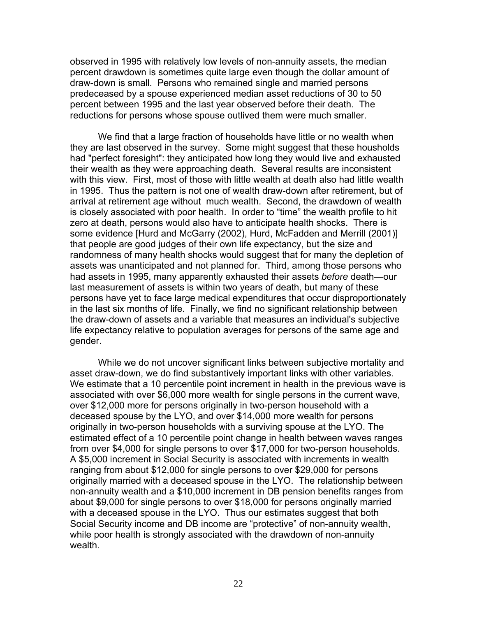observed in 1995 with relatively low levels of non-annuity assets, the median percent drawdown is sometimes quite large even though the dollar amount of draw-down is small. Persons who remained single and married persons predeceased by a spouse experienced median asset reductions of 30 to 50 percent between 1995 and the last year observed before their death. The reductions for persons whose spouse outlived them were much smaller.

We find that a large fraction of households have little or no wealth when they are last observed in the survey. Some might suggest that these housholds had "perfect foresight": they anticipated how long they would live and exhausted their wealth as they were approaching death. Several results are inconsistent with this view. First, most of those with little wealth at death also had little wealth in 1995. Thus the pattern is not one of wealth draw-down after retirement, but of arrival at retirement age without much wealth. Second, the drawdown of wealth is closely associated with poor health. In order to "time" the wealth profile to hit zero at death, persons would also have to anticipate health shocks. There is some evidence [Hurd and McGarry (2002), Hurd, McFadden and Merrill (2001)] that people are good judges of their own life expectancy, but the size and randomness of many health shocks would suggest that for many the depletion of assets was unanticipated and not planned for. Third, among those persons who had assets in 1995, many apparently exhausted their assets *before* death—our last measurement of assets is within two years of death, but many of these persons have yet to face large medical expenditures that occur disproportionately in the last six months of life. Finally, we find no significant relationship between the draw-down of assets and a variable that measures an individual's subjective life expectancy relative to population averages for persons of the same age and gender.

 While we do not uncover significant links between subjective mortality and asset draw-down, we do find substantively important links with other variables. We estimate that a 10 percentile point increment in health in the previous wave is associated with over \$6,000 more wealth for single persons in the current wave, over \$12,000 more for persons originally in two-person household with a deceased spouse by the LYO, and over \$14,000 more wealth for persons originally in two-person households with a surviving spouse at the LYO. The estimated effect of a 10 percentile point change in health between waves ranges from over \$4,000 for single persons to over \$17,000 for two-person households. A \$5,000 increment in Social Security is associated with increments in wealth ranging from about \$12,000 for single persons to over \$29,000 for persons originally married with a deceased spouse in the LYO. The relationship between non-annuity wealth and a \$10,000 increment in DB pension benefits ranges from about \$9,000 for single persons to over \$18,000 for persons originally married with a deceased spouse in the LYO. Thus our estimates suggest that both Social Security income and DB income are "protective" of non-annuity wealth, while poor health is strongly associated with the drawdown of non-annuity wealth.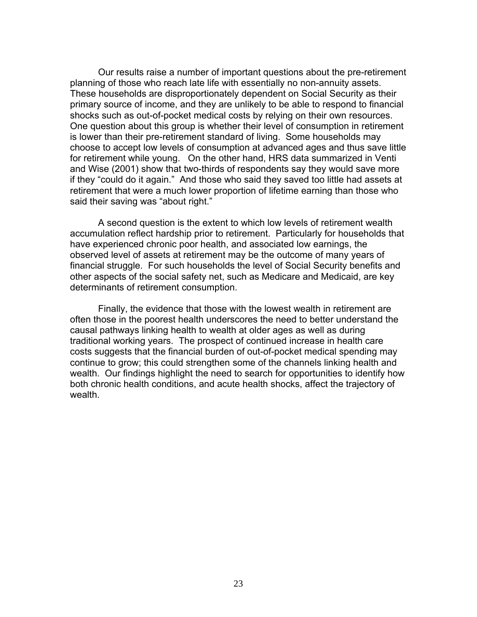Our results raise a number of important questions about the pre-retirement planning of those who reach late life with essentially no non-annuity assets. These households are disproportionately dependent on Social Security as their primary source of income, and they are unlikely to be able to respond to financial shocks such as out-of-pocket medical costs by relying on their own resources. One question about this group is whether their level of consumption in retirement is lower than their pre-retirement standard of living. Some households may choose to accept low levels of consumption at advanced ages and thus save little for retirement while young. On the other hand, HRS data summarized in Venti and Wise (2001) show that two-thirds of respondents say they would save more if they "could do it again." And those who said they saved too little had assets at retirement that were a much lower proportion of lifetime earning than those who said their saving was "about right."

 A second question is the extent to which low levels of retirement wealth accumulation reflect hardship prior to retirement. Particularly for households that have experienced chronic poor health, and associated low earnings, the observed level of assets at retirement may be the outcome of many years of financial struggle. For such households the level of Social Security benefits and other aspects of the social safety net, such as Medicare and Medicaid, are key determinants of retirement consumption.

 Finally, the evidence that those with the lowest wealth in retirement are often those in the poorest health underscores the need to better understand the causal pathways linking health to wealth at older ages as well as during traditional working years. The prospect of continued increase in health care costs suggests that the financial burden of out-of-pocket medical spending may continue to grow; this could strengthen some of the channels linking health and wealth. Our findings highlight the need to search for opportunities to identify how both chronic health conditions, and acute health shocks, affect the trajectory of wealth.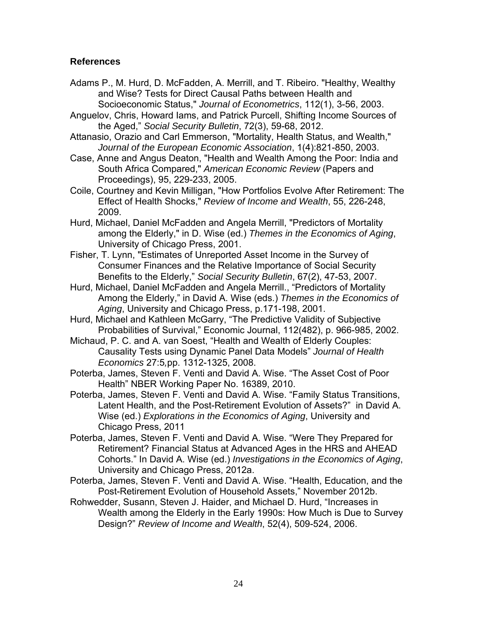# **References**

- Adams P., M. Hurd, D. McFadden, A. Merrill, and T. Ribeiro. "Healthy, Wealthy and Wise? Tests for Direct Causal Paths between Health and Socioeconomic Status," *Journal of Econometrics*, 112(1), 3-56, 2003.
- Anguelov, Chris, Howard Iams, and Patrick Purcell, Shifting Income Sources of the Aged," *Social Security Bulletin*, 72(3), 59-68, 2012.
- Attanasio, Orazio and Carl Emmerson, "Mortality, Health Status, and Wealth," *Journal of the European Economic Association*, 1(4):821-850, 2003.
- Case, Anne and Angus Deaton, "Health and Wealth Among the Poor: India and South Africa Compared," *American Economic Review* (Papers and Proceedings), 95, 229-233, 2005.
- Coile, Courtney and Kevin Milligan, "How Portfolios Evolve After Retirement: The Effect of Health Shocks," *Review of Income and Wealth*, 55, 226-248, 2009.
- Hurd, Michael, Daniel McFadden and Angela Merrill, "Predictors of Mortality among the Elderly," in D. Wise (ed.) *Themes in the Economics of Aging*, University of Chicago Press, 2001.
- Fisher, T. Lynn, "Estimates of Unreported Asset Income in the Survey of Consumer Finances and the Relative Importance of Social Security Benefits to the Elderly," *Social Security Bulletin*, 67(2), 47-53, 2007.
- Hurd, Michael, Daniel McFadden and Angela Merrill., "Predictors of Mortality Among the Elderly," in David A. Wise (eds.) *Themes in the Economics of Aging*, University and Chicago Press, p.171-198, 2001.
- Hurd, Michael and Kathleen McGarry, "The Predictive Validity of Subjective Probabilities of Survival," Economic Journal, 112(482), p. 966-985, 2002.
- Michaud, P. C. and A. van Soest, "Health and Wealth of Elderly Couples: Causality Tests using Dynamic Panel Data Models" *Journal of Health Economics* 27:5*,*pp. 1312-1325, 2008.
- Poterba, James, Steven F. Venti and David A. Wise. "The Asset Cost of Poor Health" NBER Working Paper No. 16389, 2010.
- Poterba, James, Steven F. Venti and David A. Wise. "Family Status Transitions, Latent Health, and the Post-Retirement Evolution of Assets?" in David A. Wise (ed.) *Explorations in the Economics of Aging*, University and Chicago Press, 2011
- Poterba, James, Steven F. Venti and David A. Wise. "Were They Prepared for Retirement? Financial Status at Advanced Ages in the HRS and AHEAD Cohorts." In David A. Wise (ed.) *Investigations in the Economics of Aging*, University and Chicago Press, 2012a.
- Poterba, James, Steven F. Venti and David A. Wise. "Health, Education, and the Post-Retirement Evolution of Household Assets," November 2012b.
- Rohwedder, Susann, Steven J. Haider, and Michael D. Hurd, "Increases in Wealth among the Elderly in the Early 1990s: How Much is Due to Survey Design?" *Review of Income and Wealth*, 52(4), 509-524, 2006.